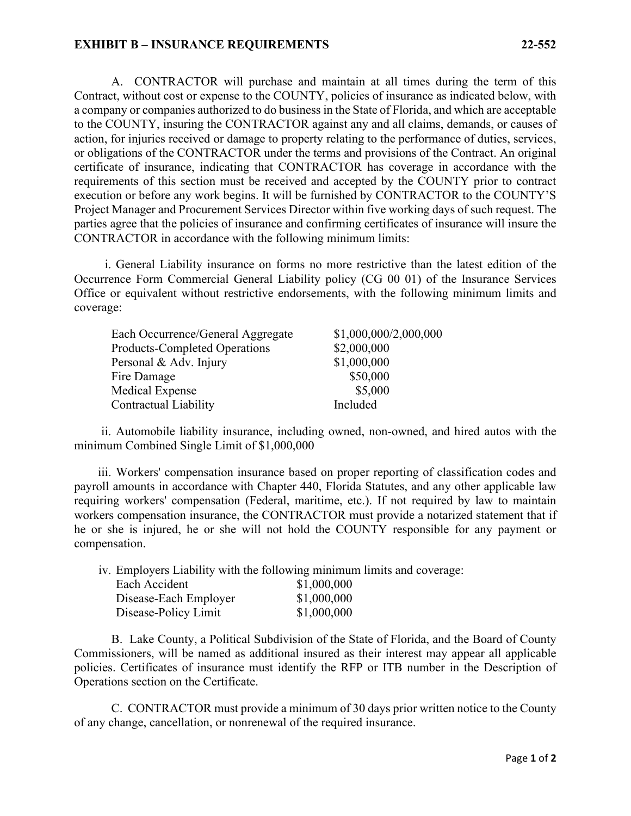## **EXHIBIT B – INSURANCE REQUIREMENTS 22-552**

A. CONTRACTOR will purchase and maintain at all times during the term of this Contract, without cost or expense to the COUNTY, policies of insurance as indicated below, with a company or companies authorized to do business in the State of Florida, and which are acceptable to the COUNTY, insuring the CONTRACTOR against any and all claims, demands, or causes of action, for injuries received or damage to property relating to the performance of duties, services, or obligations of the CONTRACTOR under the terms and provisions of the Contract. An original certificate of insurance, indicating that CONTRACTOR has coverage in accordance with the requirements of this section must be received and accepted by the COUNTY prior to contract execution or before any work begins. It will be furnished by CONTRACTOR to the COUNTY'S Project Manager and Procurement Services Director within five working days of such request. The parties agree that the policies of insurance and confirming certificates of insurance will insure the CONTRACTOR in accordance with the following minimum limits:

i. General Liability insurance on forms no more restrictive than the latest edition of the Occurrence Form Commercial General Liability policy (CG 00 01) of the Insurance Services Office or equivalent without restrictive endorsements, with the following minimum limits and coverage:

| Each Occurrence/General Aggregate    | \$1,000,000/2,000,000 |
|--------------------------------------|-----------------------|
| <b>Products-Completed Operations</b> | \$2,000,000           |
| Personal & Adv. Injury               | \$1,000,000           |
| Fire Damage                          | \$50,000              |
| Medical Expense                      | \$5,000               |
| Contractual Liability                | Included              |

ii. Automobile liability insurance, including owned, non-owned, and hired autos with the minimum Combined Single Limit of \$1,000,000

iii. Workers' compensation insurance based on proper reporting of classification codes and payroll amounts in accordance with Chapter 440, Florida Statutes, and any other applicable law requiring workers' compensation (Federal, maritime, etc.). If not required by law to maintain workers compensation insurance, the CONTRACTOR must provide a notarized statement that if he or she is injured, he or she will not hold the COUNTY responsible for any payment or compensation.

iv. Employers Liability with the following minimum limits and coverage:

| Each Accident         | \$1,000,000 |
|-----------------------|-------------|
| Disease-Each Employer | \$1,000,000 |
| Disease-Policy Limit  | \$1,000,000 |

B. Lake County, a Political Subdivision of the State of Florida, and the Board of County Commissioners, will be named as additional insured as their interest may appear all applicable policies. Certificates of insurance must identify the RFP or ITB number in the Description of Operations section on the Certificate.

C. CONTRACTOR must provide a minimum of 30 days prior written notice to the County of any change, cancellation, or nonrenewal of the required insurance.